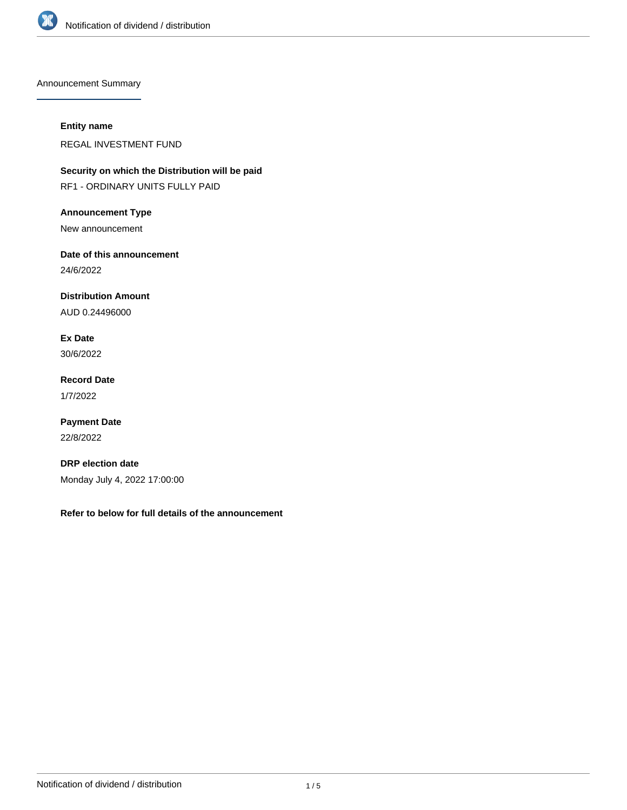

Announcement Summary

## **Entity name**

REGAL INVESTMENT FUND

**Security on which the Distribution will be paid** RF1 - ORDINARY UNITS FULLY PAID

**Announcement Type**

New announcement

**Date of this announcement**

24/6/2022

**Distribution Amount**

AUD 0.24496000

**Ex Date** 30/6/2022

**Record Date** 1/7/2022

**Payment Date** 22/8/2022

**DRP election date** Monday July 4, 2022 17:00:00

**Refer to below for full details of the announcement**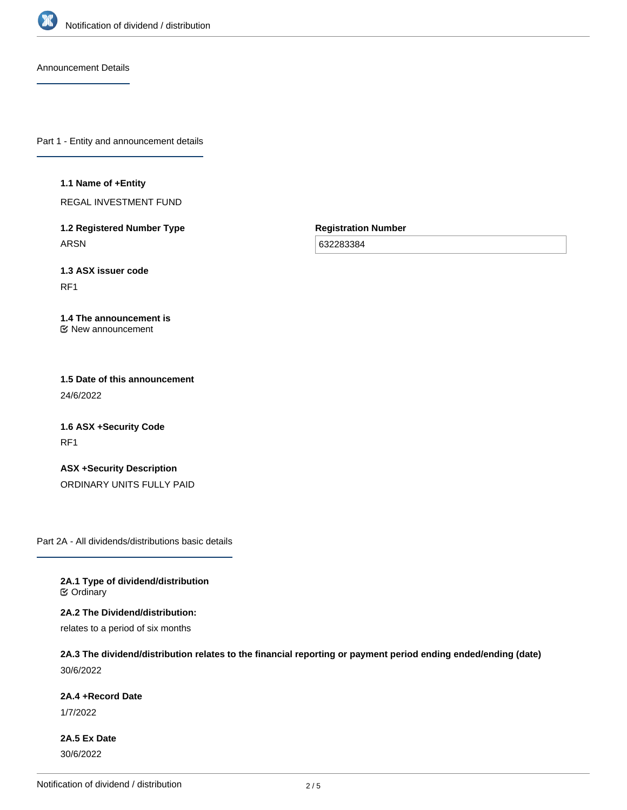

Announcement Details

Part 1 - Entity and announcement details

### **1.1 Name of +Entity**

REGAL INVESTMENT FUND

**1.2 Registered Number Type** ARSN

**Registration Number**

632283384

**1.3 ASX issuer code**

RF1

### **1.4 The announcement is** New announcement

**1.5 Date of this announcement** 24/6/2022

**1.6 ASX +Security Code** RF1

**ASX +Security Description** ORDINARY UNITS FULLY PAID

Part 2A - All dividends/distributions basic details

**2A.1 Type of dividend/distribution C** Ordinary

**2A.2 The Dividend/distribution:**

relates to a period of six months

**2A.3 The dividend/distribution relates to the financial reporting or payment period ending ended/ending (date)** 30/6/2022

## **2A.4 +Record Date**

1/7/2022

**2A.5 Ex Date** 30/6/2022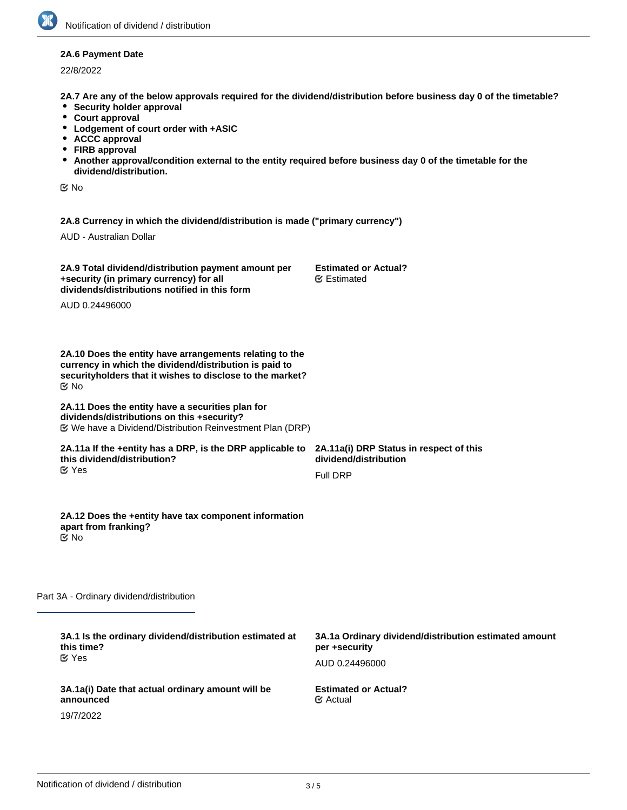## **2A.6 Payment Date**

22/8/2022

**2A.7 Are any of the below approvals required for the dividend/distribution before business day 0 of the timetable?**

- **•** Security holder approval
- **Court approval**
- **Lodgement of court order with +ASIC**
- **ACCC approval**
- **FIRB approval**
- **Another approval/condition external to the entity required before business day 0 of the timetable for the dividend/distribution.**

No

**2A.8 Currency in which the dividend/distribution is made ("primary currency")**

AUD - Australian Dollar

| 2A.9 Total dividend/distribution payment amount per | <b>Estimated or Actual?</b> |
|-----------------------------------------------------|-----------------------------|
| +security (in primary currency) for all             | <b></b> Estimated           |
| dividends/distributions notified in this form       |                             |

AUD 0.24496000

**2A.10 Does the entity have arrangements relating to the currency in which the dividend/distribution is paid to securityholders that it wishes to disclose to the market?** No

### **2A.11 Does the entity have a securities plan for dividends/distributions on this +security?** We have a Dividend/Distribution Reinvestment Plan (DRP)

### **2A.11a If the +entity has a DRP, is the DRP applicable to this dividend/distribution?** Yes

**2A.12 Does the +entity have tax component information**

**2A.11a(i) DRP Status in respect of this dividend/distribution**

Full DRP

Part 3A - Ordinary dividend/distribution

**apart from franking?**

No

| 3A.1 Is the ordinary dividend/distribution estimated at                     | 3A.1a Ordinary dividend/distribution estimated amount |
|-----------------------------------------------------------------------------|-------------------------------------------------------|
| this time?                                                                  | per +security                                         |
| $\alpha$ Yes                                                                | AUD 0.24496000                                        |
| 3A.1a(i) Date that actual ordinary amount will be<br>announced<br>19/7/2022 | <b>Estimated or Actual?</b><br>$\mathfrak{C}$ Actual  |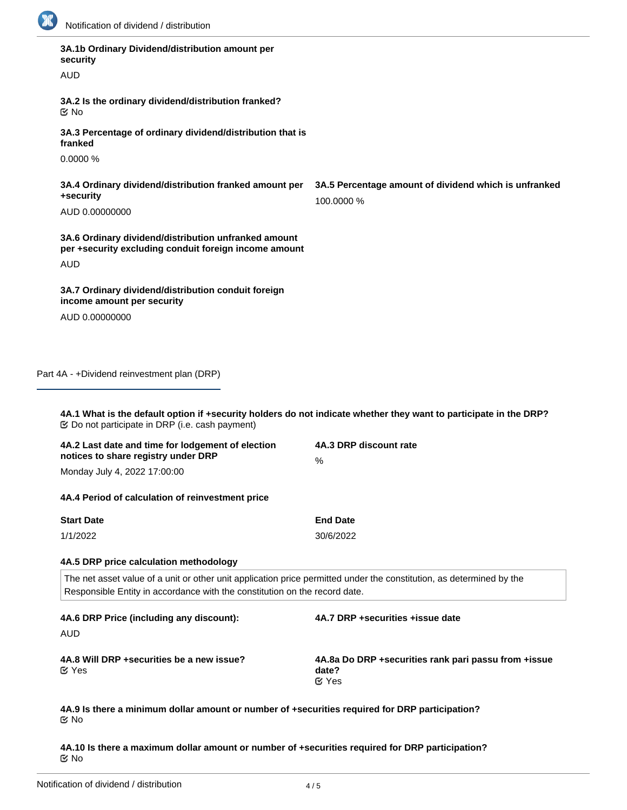

| 3A.1b Ordinary Dividend/distribution amount per<br>security                                                                                                                                        |                                                                     |
|----------------------------------------------------------------------------------------------------------------------------------------------------------------------------------------------------|---------------------------------------------------------------------|
| <b>AUD</b>                                                                                                                                                                                         |                                                                     |
| 3A.2 Is the ordinary dividend/distribution franked?<br>$\mathfrak{C}$ No                                                                                                                           |                                                                     |
| 3A.3 Percentage of ordinary dividend/distribution that is<br>franked                                                                                                                               |                                                                     |
| 0.0000%                                                                                                                                                                                            |                                                                     |
| 3A.4 Ordinary dividend/distribution franked amount per<br>+security                                                                                                                                | 3A.5 Percentage amount of dividend which is unfranked<br>100.0000 % |
| AUD 0.00000000                                                                                                                                                                                     |                                                                     |
| 3A.6 Ordinary dividend/distribution unfranked amount<br>per +security excluding conduit foreign income amount                                                                                      |                                                                     |
| <b>AUD</b>                                                                                                                                                                                         |                                                                     |
| 3A.7 Ordinary dividend/distribution conduit foreign<br>income amount per security                                                                                                                  |                                                                     |
| AUD 0.00000000                                                                                                                                                                                     |                                                                     |
|                                                                                                                                                                                                    |                                                                     |
| Part 4A - +Dividend reinvestment plan (DRP)<br>4A.1 What is the default option if +security holders do not indicate whether they want to participate in the DRP?                                   |                                                                     |
| 4A.2 Last date and time for lodgement of election<br>notices to share registry under DRP                                                                                                           | 4A.3 DRP discount rate<br>$\%$                                      |
| Monday July 4, 2022 17:00:00                                                                                                                                                                       |                                                                     |
| 4A.4 Period of calculation of reinvestment price                                                                                                                                                   |                                                                     |
| <b>Start Date</b>                                                                                                                                                                                  | <b>End Date</b>                                                     |
| 1/1/2022                                                                                                                                                                                           | 30/6/2022                                                           |
| 4A.5 DRP price calculation methodology                                                                                                                                                             |                                                                     |
| The net asset value of a unit or other unit application price permitted under the constitution, as determined by the<br>Responsible Entity in accordance with the constitution on the record date. |                                                                     |
| 4A.6 DRP Price (including any discount):                                                                                                                                                           | 4A.7 DRP +securities +issue date                                    |
| <b>AUD</b>                                                                                                                                                                                         |                                                                     |

**4A.10 Is there a maximum dollar amount or number of +securities required for DRP participation?** No